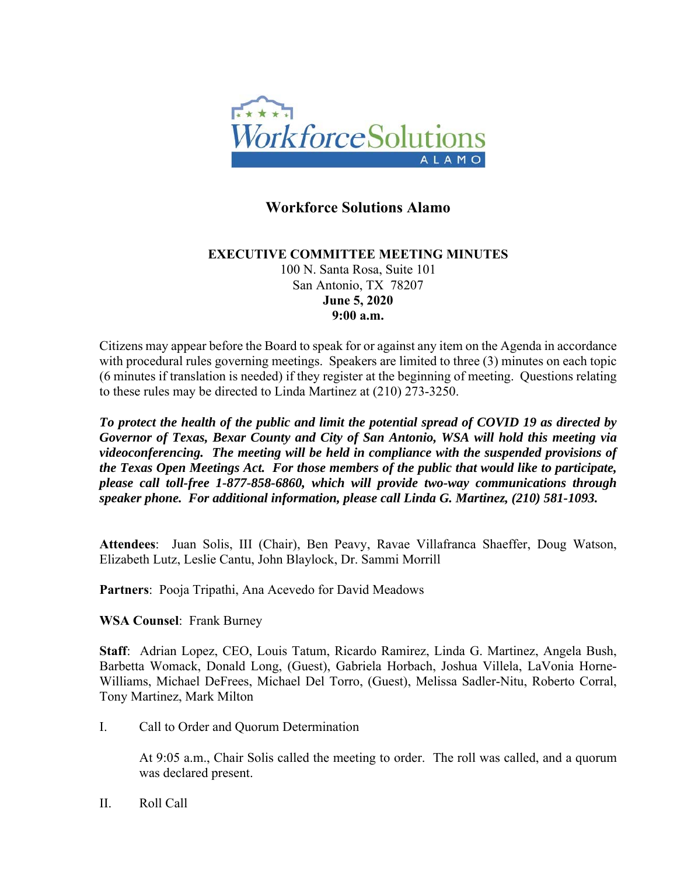

## **Workforce Solutions Alamo**

## **EXECUTIVE COMMITTEE MEETING MINUTES**  100 N. Santa Rosa, Suite 101 San Antonio, TX 78207 **June 5, 2020 9:00 a.m.**

Citizens may appear before the Board to speak for or against any item on the Agenda in accordance with procedural rules governing meetings. Speakers are limited to three (3) minutes on each topic (6 minutes if translation is needed) if they register at the beginning of meeting. Questions relating to these rules may be directed to Linda Martinez at (210) 273-3250.

*To protect the health of the public and limit the potential spread of COVID 19 as directed by Governor of Texas, Bexar County and City of San Antonio, WSA will hold this meeting via videoconferencing. The meeting will be held in compliance with the suspended provisions of the Texas Open Meetings Act. For those members of the public that would like to participate, please call toll-free 1-877-858-6860, which will provide two-way communications through speaker phone. For additional information, please call Linda G. Martinez, (210) 581-1093.* 

**Attendees**: Juan Solis, III (Chair), Ben Peavy, Ravae Villafranca Shaeffer, Doug Watson, Elizabeth Lutz, Leslie Cantu, John Blaylock, Dr. Sammi Morrill

**Partners**: Pooja Tripathi, Ana Acevedo for David Meadows

**WSA Counsel**: Frank Burney

**Staff**: Adrian Lopez, CEO, Louis Tatum, Ricardo Ramirez, Linda G. Martinez, Angela Bush, Barbetta Womack, Donald Long, (Guest), Gabriela Horbach, Joshua Villela, LaVonia Horne-Williams, Michael DeFrees, Michael Del Torro, (Guest), Melissa Sadler-Nitu, Roberto Corral, Tony Martinez, Mark Milton

I. Call to Order and Quorum Determination

At 9:05 a.m., Chair Solis called the meeting to order. The roll was called, and a quorum was declared present.

II. Roll Call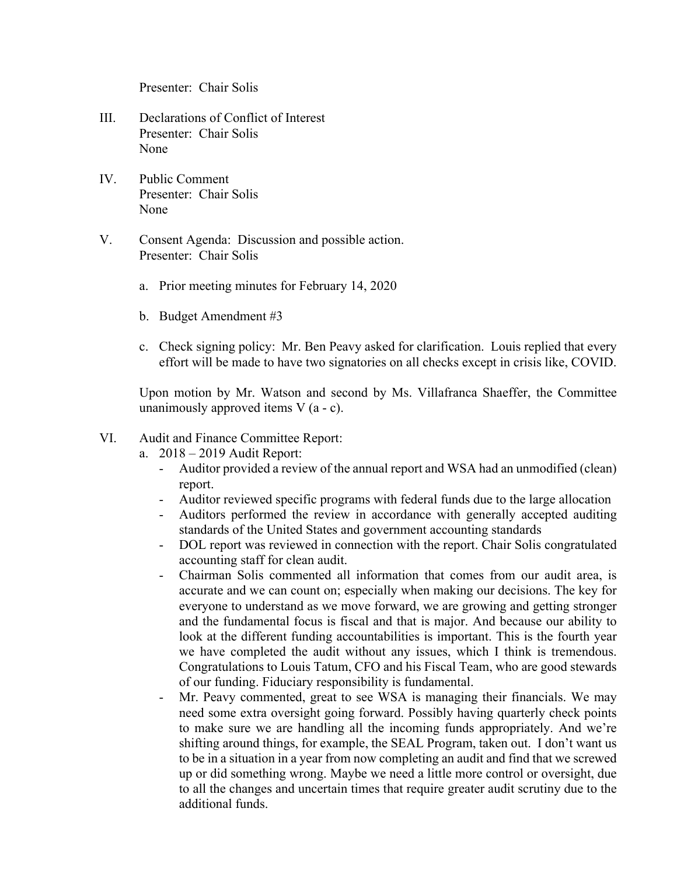Presenter: Chair Solis

- III. Declarations of Conflict of Interest Presenter: Chair Solis None
- IV. Public Comment Presenter: Chair Solis None
- V. Consent Agenda: Discussion and possible action. Presenter: Chair Solis
	- a. Prior meeting minutes for February 14, 2020
	- b. Budget Amendment #3
	- c. Check signing policy: Mr. Ben Peavy asked for clarification. Louis replied that every effort will be made to have two signatories on all checks except in crisis like, COVID.

Upon motion by Mr. Watson and second by Ms. Villafranca Shaeffer, the Committee unanimously approved items  $V$  (a - c).

## VI. Audit and Finance Committee Report:

- a. 2018 2019 Audit Report:
	- Auditor provided a review of the annual report and WSA had an unmodified (clean) report.
	- Auditor reviewed specific programs with federal funds due to the large allocation
	- Auditors performed the review in accordance with generally accepted auditing standards of the United States and government accounting standards
	- DOL report was reviewed in connection with the report. Chair Solis congratulated accounting staff for clean audit.
	- Chairman Solis commented all information that comes from our audit area, is accurate and we can count on; especially when making our decisions. The key for everyone to understand as we move forward, we are growing and getting stronger and the fundamental focus is fiscal and that is major. And because our ability to look at the different funding accountabilities is important. This is the fourth year we have completed the audit without any issues, which I think is tremendous. Congratulations to Louis Tatum, CFO and his Fiscal Team, who are good stewards of our funding. Fiduciary responsibility is fundamental.
	- Mr. Peavy commented, great to see WSA is managing their financials. We may need some extra oversight going forward. Possibly having quarterly check points to make sure we are handling all the incoming funds appropriately. And we're shifting around things, for example, the SEAL Program, taken out. I don't want us to be in a situation in a year from now completing an audit and find that we screwed up or did something wrong. Maybe we need a little more control or oversight, due to all the changes and uncertain times that require greater audit scrutiny due to the additional funds.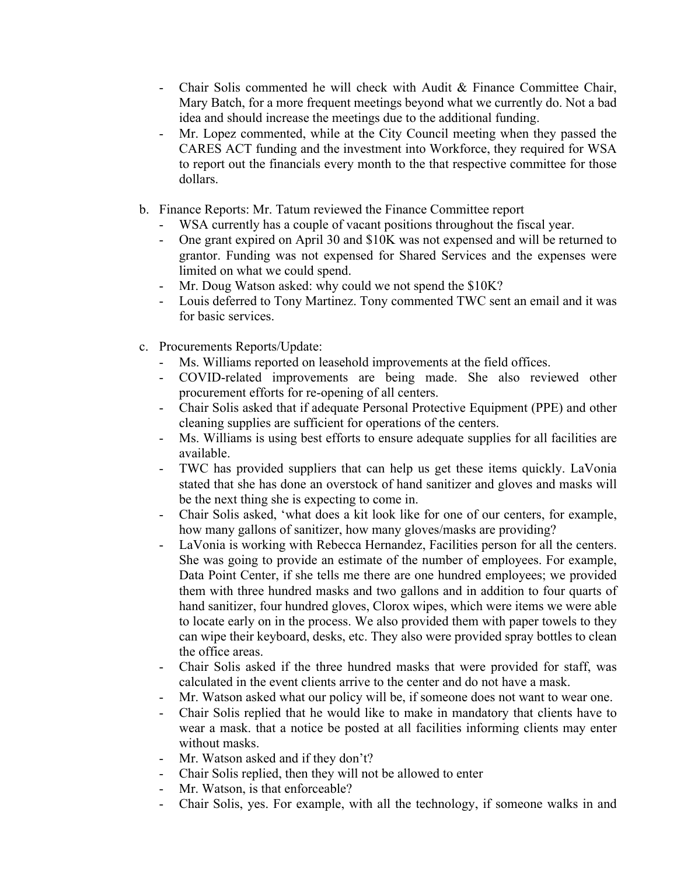- Chair Solis commented he will check with Audit & Finance Committee Chair, Mary Batch, for a more frequent meetings beyond what we currently do. Not a bad idea and should increase the meetings due to the additional funding.
- Mr. Lopez commented, while at the City Council meeting when they passed the CARES ACT funding and the investment into Workforce, they required for WSA to report out the financials every month to the that respective committee for those dollars.
- b. Finance Reports: Mr. Tatum reviewed the Finance Committee report
	- WSA currently has a couple of vacant positions throughout the fiscal year.
	- One grant expired on April 30 and \$10K was not expensed and will be returned to grantor. Funding was not expensed for Shared Services and the expenses were limited on what we could spend.
	- Mr. Doug Watson asked: why could we not spend the \$10K?
	- Louis deferred to Tony Martinez. Tony commented TWC sent an email and it was for basic services.
- c. Procurements Reports/Update:
	- Ms. Williams reported on leasehold improvements at the field offices.
	- COVID-related improvements are being made. She also reviewed other procurement efforts for re-opening of all centers.
	- Chair Solis asked that if adequate Personal Protective Equipment (PPE) and other cleaning supplies are sufficient for operations of the centers.
	- Ms. Williams is using best efforts to ensure adequate supplies for all facilities are available.
	- TWC has provided suppliers that can help us get these items quickly. LaVonia stated that she has done an overstock of hand sanitizer and gloves and masks will be the next thing she is expecting to come in.
	- Chair Solis asked, 'what does a kit look like for one of our centers, for example, how many gallons of sanitizer, how many gloves/masks are providing?
	- LaVonia is working with Rebecca Hernandez, Facilities person for all the centers. She was going to provide an estimate of the number of employees. For example, Data Point Center, if she tells me there are one hundred employees; we provided them with three hundred masks and two gallons and in addition to four quarts of hand sanitizer, four hundred gloves, Clorox wipes, which were items we were able to locate early on in the process. We also provided them with paper towels to they can wipe their keyboard, desks, etc. They also were provided spray bottles to clean the office areas.
	- Chair Solis asked if the three hundred masks that were provided for staff, was calculated in the event clients arrive to the center and do not have a mask.
	- Mr. Watson asked what our policy will be, if someone does not want to wear one.
	- Chair Solis replied that he would like to make in mandatory that clients have to wear a mask. that a notice be posted at all facilities informing clients may enter without masks.
	- Mr. Watson asked and if they don't?
	- Chair Solis replied, then they will not be allowed to enter
	- Mr. Watson, is that enforceable?
	- Chair Solis, yes. For example, with all the technology, if someone walks in and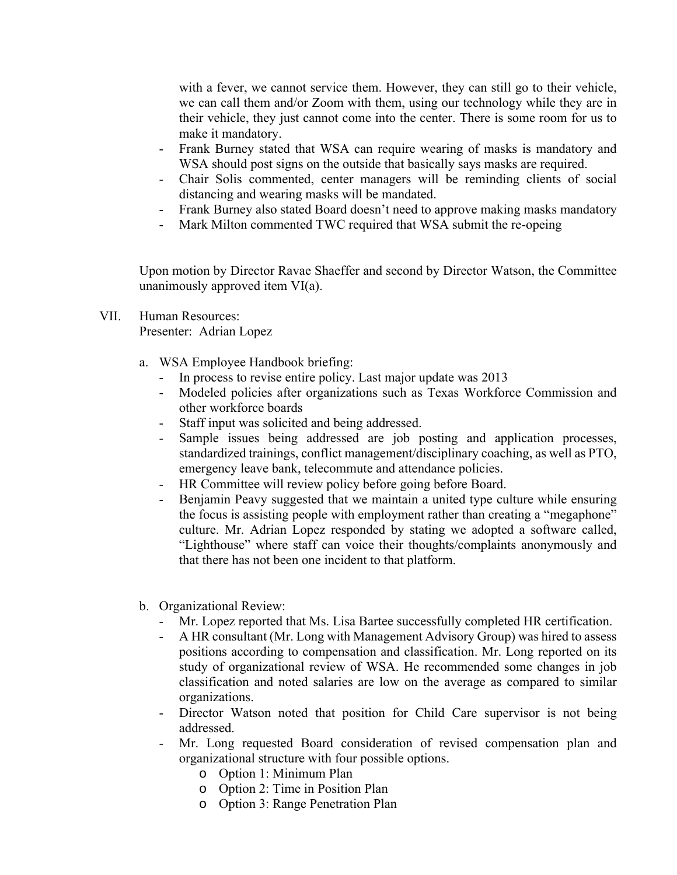with a fever, we cannot service them. However, they can still go to their vehicle, we can call them and/or Zoom with them, using our technology while they are in their vehicle, they just cannot come into the center. There is some room for us to make it mandatory.

- Frank Burney stated that WSA can require wearing of masks is mandatory and WSA should post signs on the outside that basically says masks are required.
- Chair Solis commented, center managers will be reminding clients of social distancing and wearing masks will be mandated.
- Frank Burney also stated Board doesn't need to approve making masks mandatory
- Mark Milton commented TWC required that WSA submit the re-opeing

Upon motion by Director Ravae Shaeffer and second by Director Watson, the Committee unanimously approved item VI(a).

- VII. Human Resources: Presenter: Adrian Lopez
	- a. WSA Employee Handbook briefing:
		- In process to revise entire policy. Last major update was 2013
		- Modeled policies after organizations such as Texas Workforce Commission and other workforce boards
		- Staff input was solicited and being addressed.
		- Sample issues being addressed are job posting and application processes, standardized trainings, conflict management/disciplinary coaching, as well as PTO, emergency leave bank, telecommute and attendance policies.
		- HR Committee will review policy before going before Board.
		- Benjamin Peavy suggested that we maintain a united type culture while ensuring the focus is assisting people with employment rather than creating a "megaphone" culture. Mr. Adrian Lopez responded by stating we adopted a software called, "Lighthouse" where staff can voice their thoughts/complaints anonymously and that there has not been one incident to that platform.
	- b. Organizational Review:
		- Mr. Lopez reported that Ms. Lisa Bartee successfully completed HR certification.
		- A HR consultant (Mr. Long with Management Advisory Group) was hired to assess positions according to compensation and classification. Mr. Long reported on its study of organizational review of WSA. He recommended some changes in job classification and noted salaries are low on the average as compared to similar organizations.
		- Director Watson noted that position for Child Care supervisor is not being addressed.
		- Mr. Long requested Board consideration of revised compensation plan and organizational structure with four possible options.
			- o Option 1: Minimum Plan
			- o Option 2: Time in Position Plan
			- o Option 3: Range Penetration Plan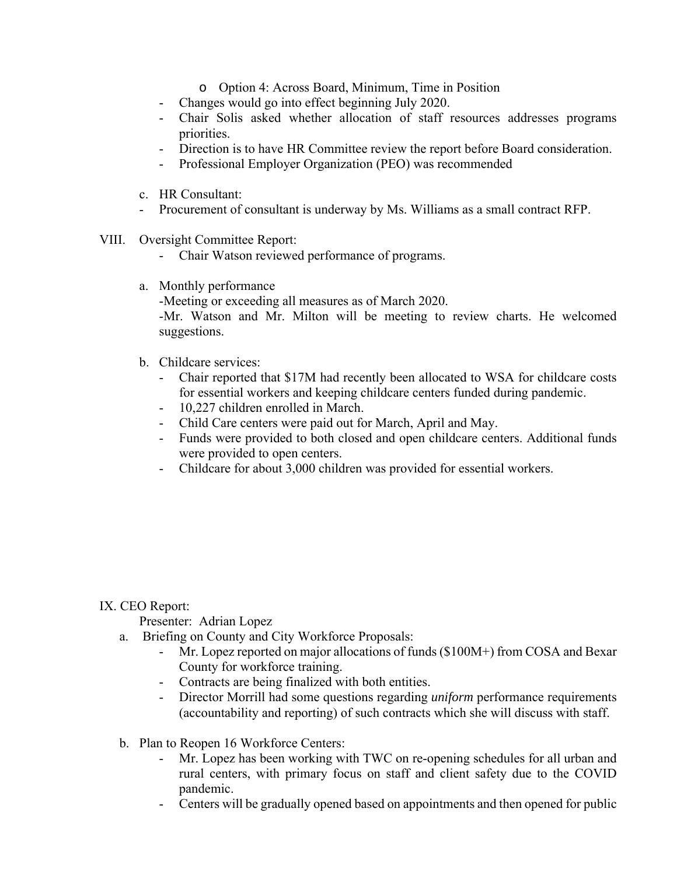- o Option 4: Across Board, Minimum, Time in Position
- Changes would go into effect beginning July 2020.
- Chair Solis asked whether allocation of staff resources addresses programs priorities.
- Direction is to have HR Committee review the report before Board consideration.
- Professional Employer Organization (PEO) was recommended
- c. HR Consultant:
- Procurement of consultant is underway by Ms. Williams as a small contract RFP.
- VIII. Oversight Committee Report:
	- Chair Watson reviewed performance of programs.
	- a. Monthly performance

-Meeting or exceeding all measures as of March 2020.

-Mr. Watson and Mr. Milton will be meeting to review charts. He welcomed suggestions.

- b. Childcare services:
	- Chair reported that \$17M had recently been allocated to WSA for childcare costs for essential workers and keeping childcare centers funded during pandemic.
	- 10,227 children enrolled in March.
	- Child Care centers were paid out for March, April and May.
	- Funds were provided to both closed and open childcare centers. Additional funds were provided to open centers.
	- Childcare for about 3,000 children was provided for essential workers.

IX. CEO Report:

Presenter: Adrian Lopez

- a. Briefing on County and City Workforce Proposals:
	- Mr. Lopez reported on major allocations of funds  $(\$100M+)$  from COSA and Bexar County for workforce training.
	- Contracts are being finalized with both entities.
	- Director Morrill had some questions regarding *uniform* performance requirements (accountability and reporting) of such contracts which she will discuss with staff.
- b. Plan to Reopen 16 Workforce Centers:
	- Mr. Lopez has been working with TWC on re-opening schedules for all urban and rural centers, with primary focus on staff and client safety due to the COVID pandemic.
	- Centers will be gradually opened based on appointments and then opened for public